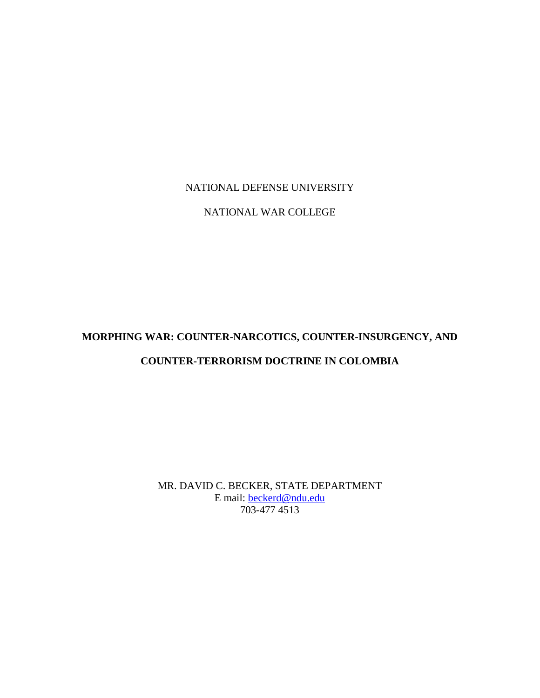## NATIONAL DEFENSE UNIVERSITY

## NATIONAL WAR COLLEGE

# **MORPHING WAR: COUNTER-NARCOTICS, COUNTER-INSURGENCY, AND**

# **COUNTER-TERRORISM DOCTRINE IN COLOMBIA**

MR. DAVID C. BECKER, STATE DEPARTMENT E mail: beckerd@ndu.edu 703-477 4513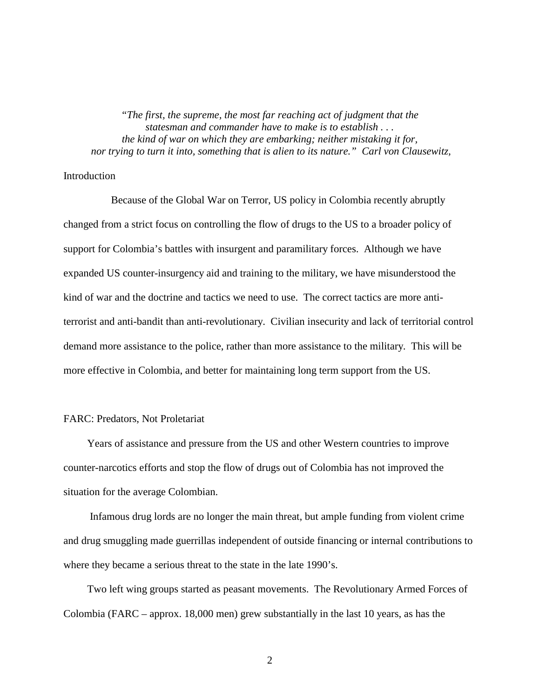*"The first, the supreme, the most far reaching act of judgment that the statesman and commander have to make is to establish . . . the kind of war on which they are embarking; neither mistaking it for, nor trying to turn it into, something that is alien to its nature." Carl von Clausewitz,* 

### **Introduction**

 Because of the Global War on Terror, US policy in Colombia recently abruptly changed from a strict focus on controlling the flow of drugs to the US to a broader policy of support for Colombia's battles with insurgent and paramilitary forces. Although we have expanded US counter-insurgency aid and training to the military, we have misunderstood the kind of war and the doctrine and tactics we need to use. The correct tactics are more antiterrorist and anti-bandit than anti-revolutionary. Civilian insecurity and lack of territorial control demand more assistance to the police, rather than more assistance to the military. This will be more effective in Colombia, and better for maintaining long term support from the US.

#### FARC: Predators, Not Proletariat

 Years of assistance and pressure from the US and other Western countries to improve counter-narcotics efforts and stop the flow of drugs out of Colombia has not improved the situation for the average Colombian.

 Infamous drug lords are no longer the main threat, but ample funding from violent crime and drug smuggling made guerrillas independent of outside financing or internal contributions to where they became a serious threat to the state in the late 1990's.

 Two left wing groups started as peasant movements. The Revolutionary Armed Forces of Colombia (FARC – approx. 18,000 men) grew substantially in the last 10 years, as has the

2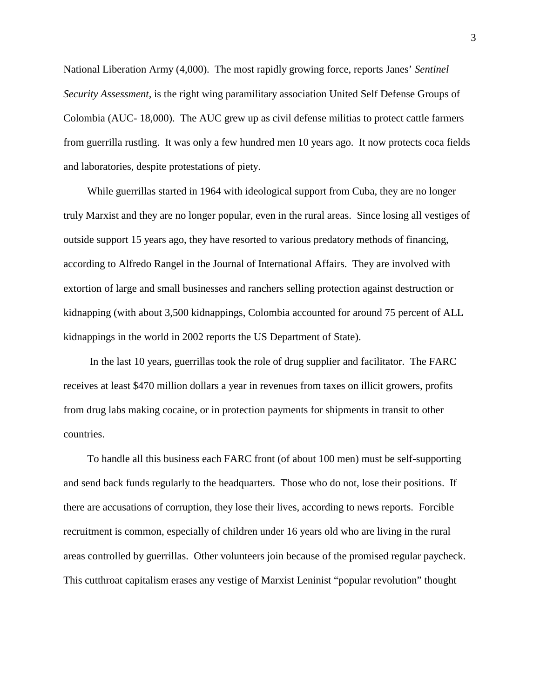National Liberation Army (4,000). The most rapidly growing force, reports Janes' *Sentinel Security Assessment,* is the right wing paramilitary association United Self Defense Groups of Colombia (AUC- 18,000). The AUC grew up as civil defense militias to protect cattle farmers from guerrilla rustling. It was only a few hundred men 10 years ago. It now protects coca fields and laboratories, despite protestations of piety.

 While guerrillas started in 1964 with ideological support from Cuba, they are no longer truly Marxist and they are no longer popular, even in the rural areas. Since losing all vestiges of outside support 15 years ago, they have resorted to various predatory methods of financing, according to Alfredo Rangel in the Journal of International Affairs. They are involved with extortion of large and small businesses and ranchers selling protection against destruction or kidnapping (with about 3,500 kidnappings, Colombia accounted for around 75 percent of ALL kidnappings in the world in 2002 reports the US Department of State).

 In the last 10 years, guerrillas took the role of drug supplier and facilitator. The FARC receives at least \$470 million dollars a year in revenues from taxes on illicit growers, profits from drug labs making cocaine, or in protection payments for shipments in transit to other countries.

 To handle all this business each FARC front (of about 100 men) must be self-supporting and send back funds regularly to the headquarters. Those who do not, lose their positions. If there are accusations of corruption, they lose their lives, according to news reports. Forcible recruitment is common, especially of children under 16 years old who are living in the rural areas controlled by guerrillas. Other volunteers join because of the promised regular paycheck. This cutthroat capitalism erases any vestige of Marxist Leninist "popular revolution" thought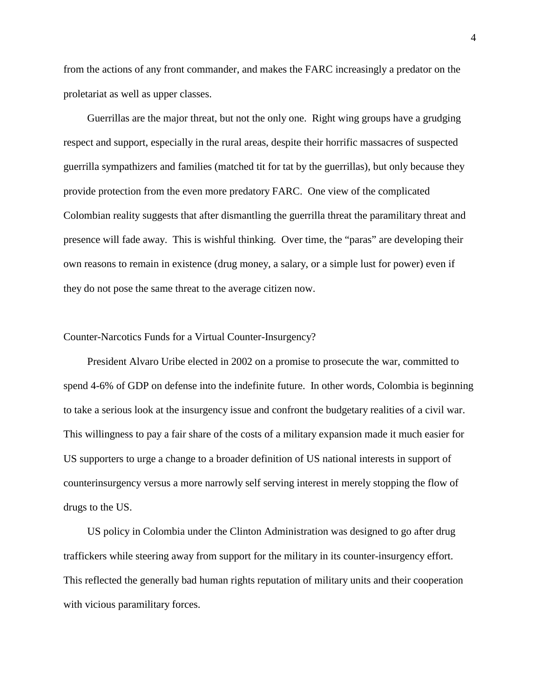from the actions of any front commander, and makes the FARC increasingly a predator on the proletariat as well as upper classes.

 Guerrillas are the major threat, but not the only one. Right wing groups have a grudging respect and support, especially in the rural areas, despite their horrific massacres of suspected guerrilla sympathizers and families (matched tit for tat by the guerrillas), but only because they provide protection from the even more predatory FARC. One view of the complicated Colombian reality suggests that after dismantling the guerrilla threat the paramilitary threat and presence will fade away. This is wishful thinking. Over time, the "paras" are developing their own reasons to remain in existence (drug money, a salary, or a simple lust for power) even if they do not pose the same threat to the average citizen now.

#### Counter-Narcotics Funds for a Virtual Counter-Insurgency?

 President Alvaro Uribe elected in 2002 on a promise to prosecute the war, committed to spend 4-6% of GDP on defense into the indefinite future. In other words, Colombia is beginning to take a serious look at the insurgency issue and confront the budgetary realities of a civil war. This willingness to pay a fair share of the costs of a military expansion made it much easier for US supporters to urge a change to a broader definition of US national interests in support of counterinsurgency versus a more narrowly self serving interest in merely stopping the flow of drugs to the US.

 US policy in Colombia under the Clinton Administration was designed to go after drug traffickers while steering away from support for the military in its counter-insurgency effort. This reflected the generally bad human rights reputation of military units and their cooperation with vicious paramilitary forces.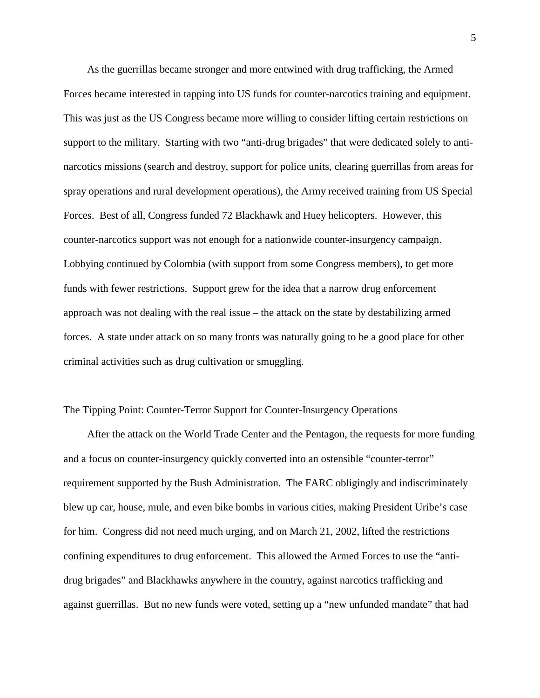As the guerrillas became stronger and more entwined with drug trafficking, the Armed Forces became interested in tapping into US funds for counter-narcotics training and equipment. This was just as the US Congress became more willing to consider lifting certain restrictions on support to the military. Starting with two "anti-drug brigades" that were dedicated solely to antinarcotics missions (search and destroy, support for police units, clearing guerrillas from areas for spray operations and rural development operations), the Army received training from US Special Forces. Best of all, Congress funded 72 Blackhawk and Huey helicopters. However, this counter-narcotics support was not enough for a nationwide counter-insurgency campaign. Lobbying continued by Colombia (with support from some Congress members), to get more funds with fewer restrictions. Support grew for the idea that a narrow drug enforcement approach was not dealing with the real issue – the attack on the state by destabilizing armed forces. A state under attack on so many fronts was naturally going to be a good place for other criminal activities such as drug cultivation or smuggling.

#### The Tipping Point: Counter-Terror Support for Counter-Insurgency Operations

 After the attack on the World Trade Center and the Pentagon, the requests for more funding and a focus on counter-insurgency quickly converted into an ostensible "counter-terror" requirement supported by the Bush Administration. The FARC obligingly and indiscriminately blew up car, house, mule, and even bike bombs in various cities, making President Uribe's case for him. Congress did not need much urging, and on March 21, 2002, lifted the restrictions confining expenditures to drug enforcement. This allowed the Armed Forces to use the "antidrug brigades" and Blackhawks anywhere in the country, against narcotics trafficking and against guerrillas. But no new funds were voted, setting up a "new unfunded mandate" that had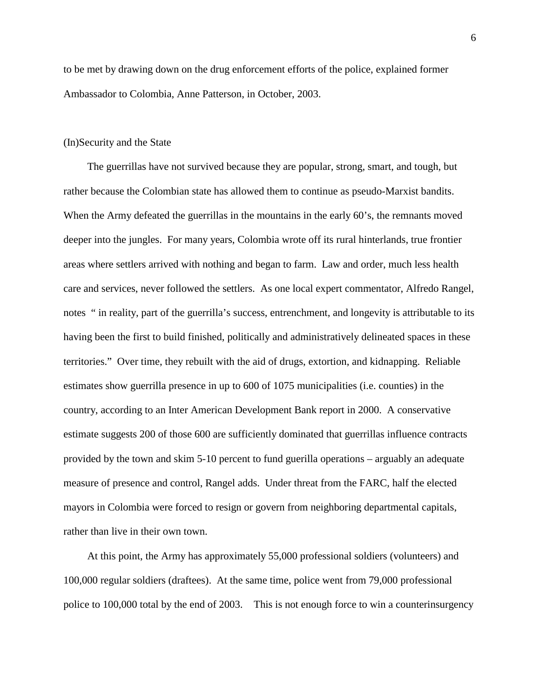to be met by drawing down on the drug enforcement efforts of the police, explained former Ambassador to Colombia, Anne Patterson, in October, 2003.

#### (In)Security and the State

 The guerrillas have not survived because they are popular, strong, smart, and tough, but rather because the Colombian state has allowed them to continue as pseudo-Marxist bandits. When the Army defeated the guerrillas in the mountains in the early 60's, the remnants moved deeper into the jungles. For many years, Colombia wrote off its rural hinterlands, true frontier areas where settlers arrived with nothing and began to farm. Law and order, much less health care and services, never followed the settlers. As one local expert commentator, Alfredo Rangel, notes " in reality, part of the guerrilla's success, entrenchment, and longevity is attributable to its having been the first to build finished, politically and administratively delineated spaces in these territories." Over time, they rebuilt with the aid of drugs, extortion, and kidnapping. Reliable estimates show guerrilla presence in up to 600 of 1075 municipalities (i.e. counties) in the country, according to an Inter American Development Bank report in 2000. A conservative estimate suggests 200 of those 600 are sufficiently dominated that guerrillas influence contracts provided by the town and skim 5-10 percent to fund guerilla operations – arguably an adequate measure of presence and control, Rangel adds. Under threat from the FARC, half the elected mayors in Colombia were forced to resign or govern from neighboring departmental capitals, rather than live in their own town.

 At this point, the Army has approximately 55,000 professional soldiers (volunteers) and 100,000 regular soldiers (draftees). At the same time, police went from 79,000 professional police to 100,000 total by the end of 2003. This is not enough force to win a counterinsurgency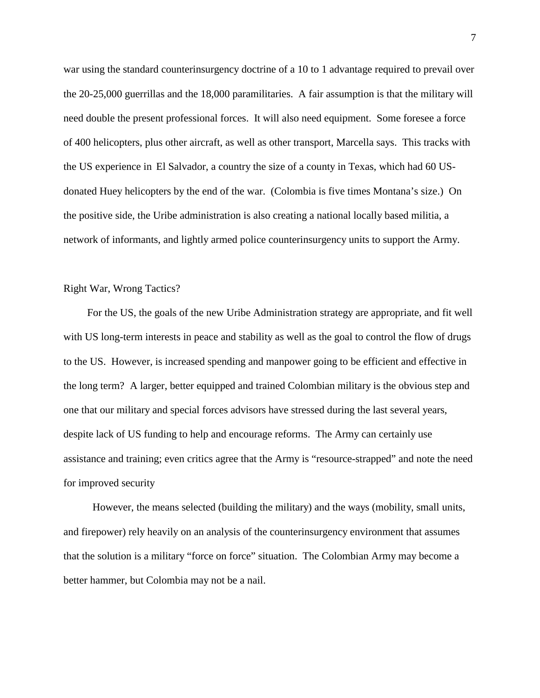war using the standard counterinsurgency doctrine of a 10 to 1 advantage required to prevail over the 20-25,000 guerrillas and the 18,000 paramilitaries. A fair assumption is that the military will need double the present professional forces. It will also need equipment. Some foresee a force of 400 helicopters, plus other aircraft, as well as other transport, Marcella says. This tracks with the US experience in El Salvador, a country the size of a county in Texas, which had 60 USdonated Huey helicopters by the end of the war. (Colombia is five times Montana's size.) On the positive side, the Uribe administration is also creating a national locally based militia, a network of informants, and lightly armed police counterinsurgency units to support the Army.

Right War, Wrong Tactics?

 For the US, the goals of the new Uribe Administration strategy are appropriate, and fit well with US long-term interests in peace and stability as well as the goal to control the flow of drugs to the US. However, is increased spending and manpower going to be efficient and effective in the long term? A larger, better equipped and trained Colombian military is the obvious step and one that our military and special forces advisors have stressed during the last several years, despite lack of US funding to help and encourage reforms. The Army can certainly use assistance and training; even critics agree that the Army is "resource-strapped" and note the need for improved security

 However, the means selected (building the military) and the ways (mobility, small units, and firepower) rely heavily on an analysis of the counterinsurgency environment that assumes that the solution is a military "force on force" situation. The Colombian Army may become a better hammer, but Colombia may not be a nail.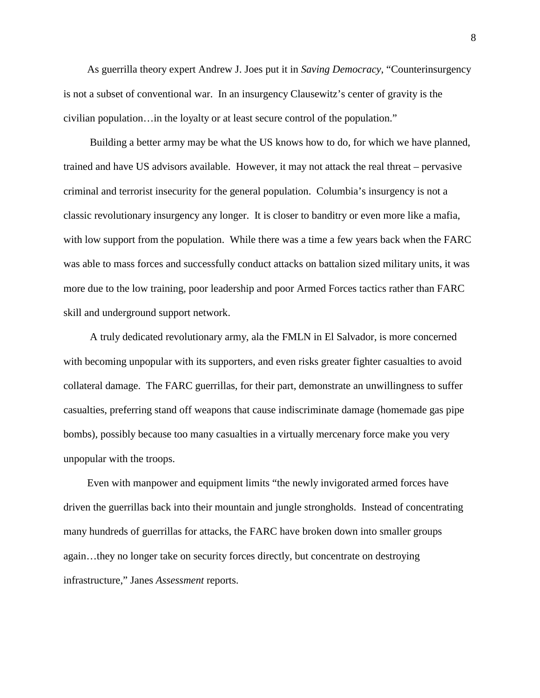As guerrilla theory expert Andrew J. Joes put it in *Saving Democracy*, "Counterinsurgency is not a subset of conventional war. In an insurgency Clausewitz's center of gravity is the civilian population…in the loyalty or at least secure control of the population."

 Building a better army may be what the US knows how to do, for which we have planned, trained and have US advisors available. However, it may not attack the real threat – pervasive criminal and terrorist insecurity for the general population. Columbia's insurgency is not a classic revolutionary insurgency any longer. It is closer to banditry or even more like a mafia, with low support from the population. While there was a time a few years back when the FARC was able to mass forces and successfully conduct attacks on battalion sized military units, it was more due to the low training, poor leadership and poor Armed Forces tactics rather than FARC skill and underground support network.

 A truly dedicated revolutionary army, ala the FMLN in El Salvador, is more concerned with becoming unpopular with its supporters, and even risks greater fighter casualties to avoid collateral damage. The FARC guerrillas, for their part, demonstrate an unwillingness to suffer casualties, preferring stand off weapons that cause indiscriminate damage (homemade gas pipe bombs), possibly because too many casualties in a virtually mercenary force make you very unpopular with the troops.

 Even with manpower and equipment limits "the newly invigorated armed forces have driven the guerrillas back into their mountain and jungle strongholds. Instead of concentrating many hundreds of guerrillas for attacks, the FARC have broken down into smaller groups again…they no longer take on security forces directly, but concentrate on destroying infrastructure," Janes *Assessment* reports.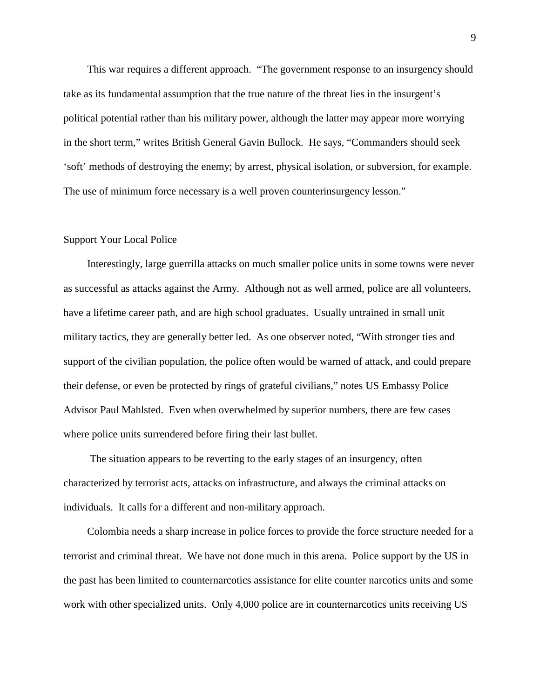This war requires a different approach. "The government response to an insurgency should take as its fundamental assumption that the true nature of the threat lies in the insurgent's political potential rather than his military power, although the latter may appear more worrying in the short term," writes British General Gavin Bullock. He says, "Commanders should seek 'soft' methods of destroying the enemy; by arrest, physical isolation, or subversion, for example. The use of minimum force necessary is a well proven counterinsurgency lesson."

#### Support Your Local Police

 Interestingly, large guerrilla attacks on much smaller police units in some towns were never as successful as attacks against the Army. Although not as well armed, police are all volunteers, have a lifetime career path, and are high school graduates. Usually untrained in small unit military tactics, they are generally better led. As one observer noted, "With stronger ties and support of the civilian population, the police often would be warned of attack, and could prepare their defense, or even be protected by rings of grateful civilians," notes US Embassy Police Advisor Paul Mahlsted. Even when overwhelmed by superior numbers, there are few cases where police units surrendered before firing their last bullet.

 The situation appears to be reverting to the early stages of an insurgency, often characterized by terrorist acts, attacks on infrastructure, and always the criminal attacks on individuals. It calls for a different and non-military approach.

 Colombia needs a sharp increase in police forces to provide the force structure needed for a terrorist and criminal threat. We have not done much in this arena. Police support by the US in the past has been limited to counternarcotics assistance for elite counter narcotics units and some work with other specialized units. Only 4,000 police are in counternarcotics units receiving US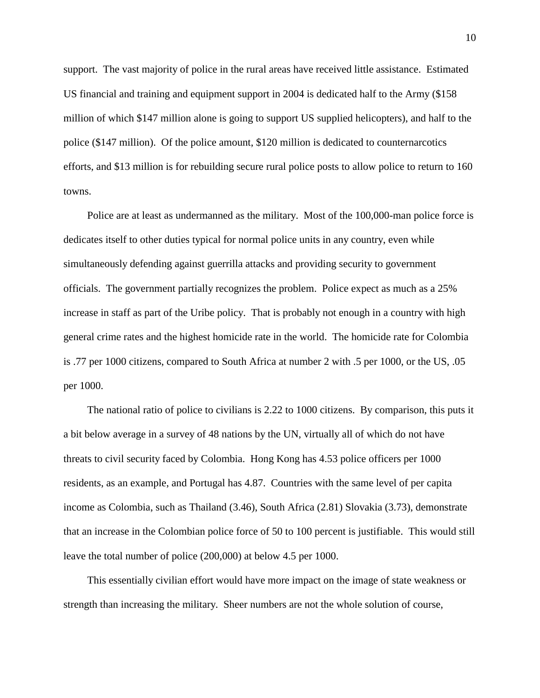support. The vast majority of police in the rural areas have received little assistance. Estimated US financial and training and equipment support in 2004 is dedicated half to the Army (\$158 million of which \$147 million alone is going to support US supplied helicopters), and half to the police (\$147 million). Of the police amount, \$120 million is dedicated to counternarcotics efforts, and \$13 million is for rebuilding secure rural police posts to allow police to return to 160 towns.

 Police are at least as undermanned as the military. Most of the 100,000-man police force is dedicates itself to other duties typical for normal police units in any country, even while simultaneously defending against guerrilla attacks and providing security to government officials. The government partially recognizes the problem. Police expect as much as a 25% increase in staff as part of the Uribe policy. That is probably not enough in a country with high general crime rates and the highest homicide rate in the world. The homicide rate for Colombia is .77 per 1000 citizens, compared to South Africa at number 2 with .5 per 1000, or the US, .05 per 1000.

 The national ratio of police to civilians is 2.22 to 1000 citizens. By comparison, this puts it a bit below average in a survey of 48 nations by the UN, virtually all of which do not have threats to civil security faced by Colombia. Hong Kong has 4.53 police officers per 1000 residents, as an example, and Portugal has 4.87. Countries with the same level of per capita income as Colombia, such as Thailand (3.46), South Africa (2.81) Slovakia (3.73), demonstrate that an increase in the Colombian police force of 50 to 100 percent is justifiable. This would still leave the total number of police (200,000) at below 4.5 per 1000.

 This essentially civilian effort would have more impact on the image of state weakness or strength than increasing the military. Sheer numbers are not the whole solution of course,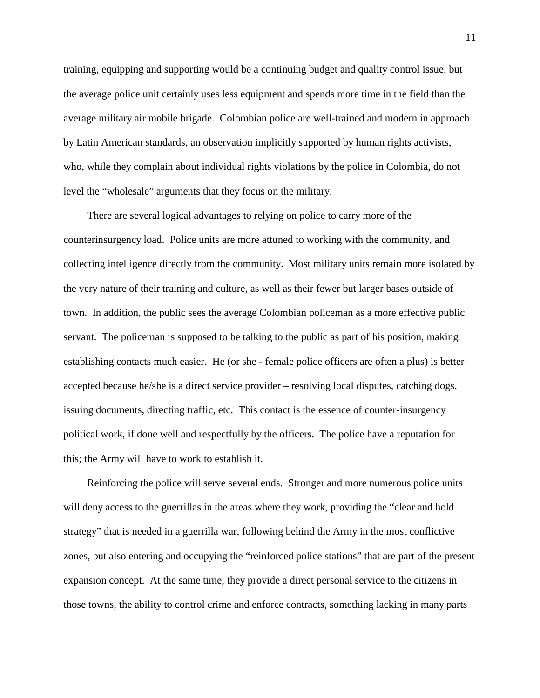training, equipping and supporting would be a continuing budget and quality control issue, but the average police unit certainly uses less equipment and spends more time in the field than the average military air mobile brigade. Colombian police are well-trained and modern in approach by Latin American standards, an observation implicitly supported by human rights activists, who, while they complain about individual rights violations by the police in Colombia, do not level the "wholesale" arguments that they focus on the military.

 There are several logical advantages to relying on police to carry more of the counterinsurgency load. Police units are more attuned to working with the community, and collecting intelligence directly from the community. Most military units remain more isolated by the very nature of their training and culture, as well as their fewer but larger bases outside of town. In addition, the public sees the average Colombian policeman as a more effective public servant. The policeman is supposed to be talking to the public as part of his position, making establishing contacts much easier. He (or she - female police officers are often a plus) is better accepted because he/she is a direct service provider – resolving local disputes, catching dogs, issuing documents, directing traffic, etc. This contact is the essence of counter-insurgency political work, if done well and respectfully by the officers. The police have a reputation for this; the Army will have to work to establish it.

 Reinforcing the police will serve several ends. Stronger and more numerous police units will deny access to the guerrillas in the areas where they work, providing the "clear and hold strategy" that is needed in a guerrilla war, following behind the Army in the most conflictive zones, but also entering and occupying the "reinforced police stations" that are part of the present expansion concept. At the same time, they provide a direct personal service to the citizens in those towns, the ability to control crime and enforce contracts, something lacking in many parts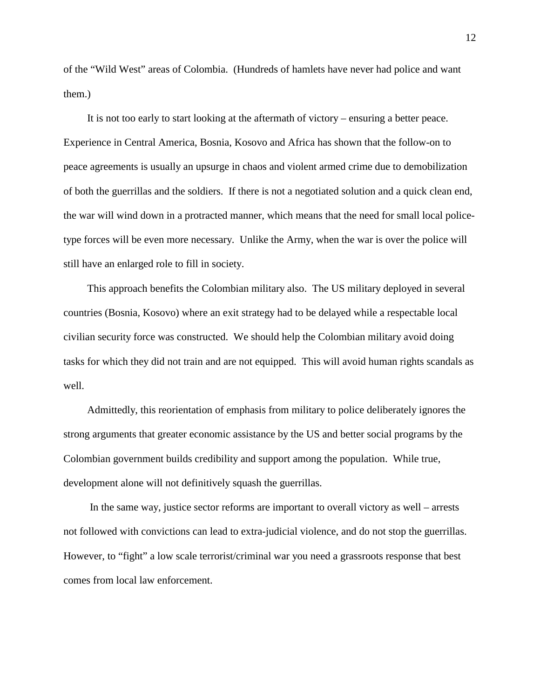of the "Wild West" areas of Colombia. (Hundreds of hamlets have never had police and want them.)

 It is not too early to start looking at the aftermath of victory – ensuring a better peace. Experience in Central America, Bosnia, Kosovo and Africa has shown that the follow-on to peace agreements is usually an upsurge in chaos and violent armed crime due to demobilization of both the guerrillas and the soldiers. If there is not a negotiated solution and a quick clean end, the war will wind down in a protracted manner, which means that the need for small local policetype forces will be even more necessary. Unlike the Army, when the war is over the police will still have an enlarged role to fill in society.

 This approach benefits the Colombian military also. The US military deployed in several countries (Bosnia, Kosovo) where an exit strategy had to be delayed while a respectable local civilian security force was constructed. We should help the Colombian military avoid doing tasks for which they did not train and are not equipped. This will avoid human rights scandals as well.

 Admittedly, this reorientation of emphasis from military to police deliberately ignores the strong arguments that greater economic assistance by the US and better social programs by the Colombian government builds credibility and support among the population. While true, development alone will not definitively squash the guerrillas.

 In the same way, justice sector reforms are important to overall victory as well – arrests not followed with convictions can lead to extra-judicial violence, and do not stop the guerrillas. However, to "fight" a low scale terrorist/criminal war you need a grassroots response that best comes from local law enforcement.